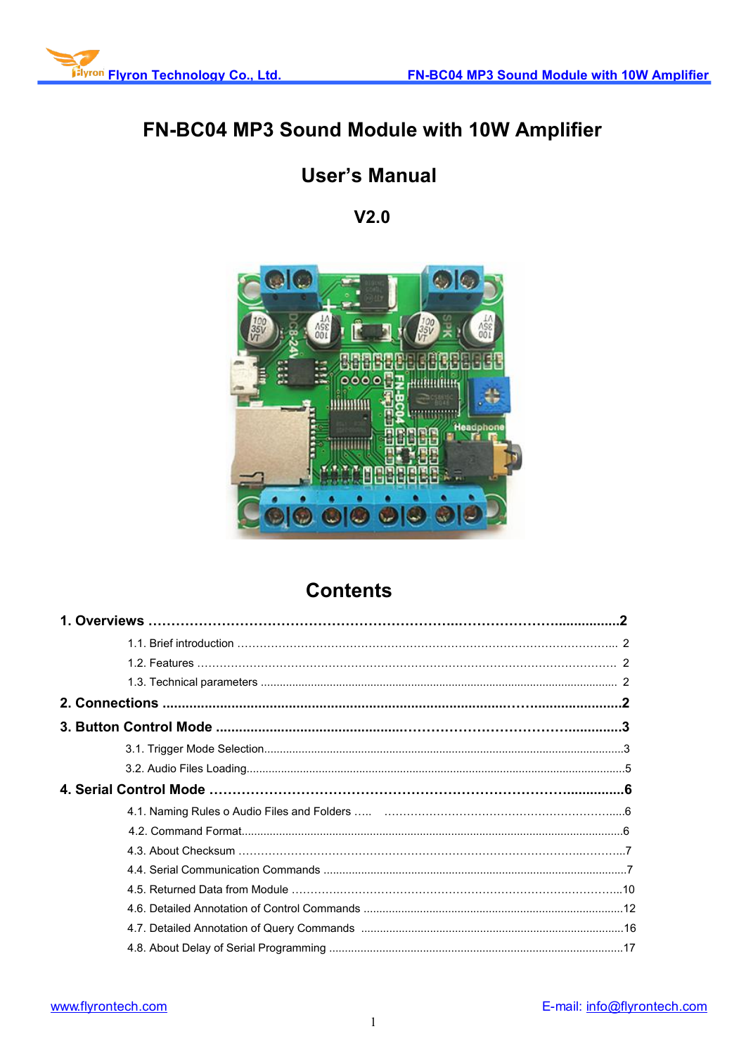

# FN-BC04 MP3 Sound Module with 10W Amplifier

# **User's Manual**

 $V<sub>2.0</sub>$ 



# **Contents**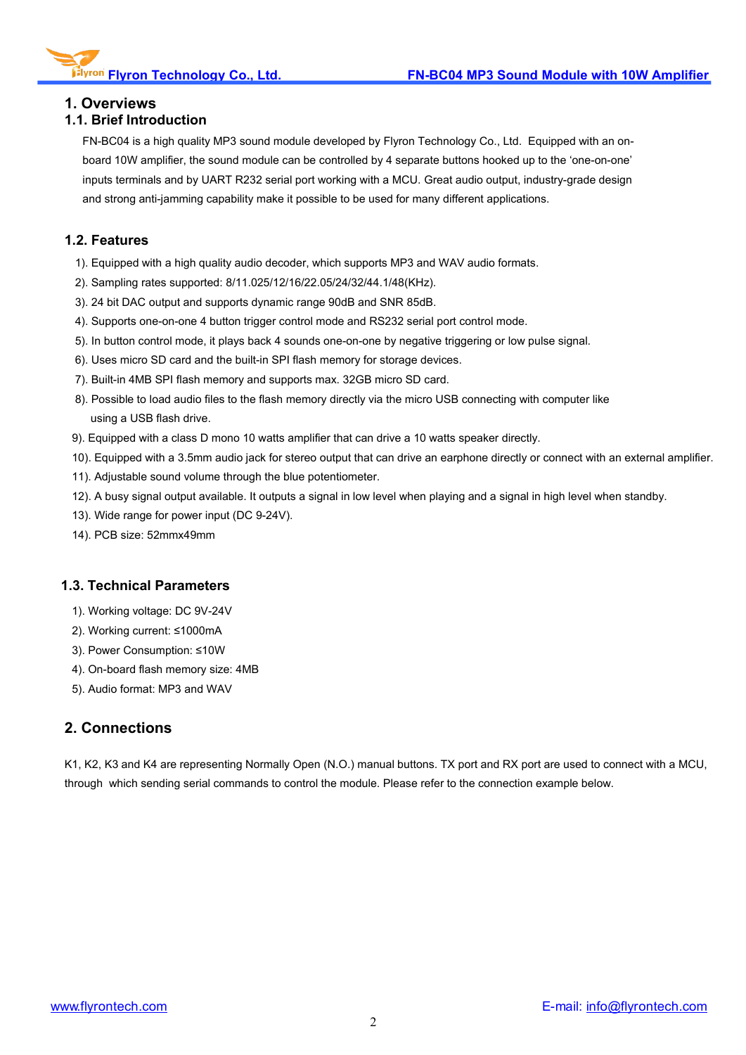# **1. Overviews**

# **1.1. Brief Introduction**

FN-BC04 is a high quality MP3 sound module developed by Flyron Technology Co., Ltd. Equipped with an on board 10W amplifier, the sound module can be controlled by 4 separate buttons hooked up to the 'one-on-one' inputs terminals and by UART R232 serial port working with a MCU. Great audio output, industry-grade design and strong anti-jamming capability make it possible to be used for many different applications.

# **1.2. Features**

- 1). Equipped with a high quality audio decoder, which supports MP3 and WAV audio formats.
- 2). Sampling rates supported: 8/11.025/12/16/22.05/24/32/44.1/48(KHz).
- 
- 3). 24 bit DAC output and supports dynamic range 90dB and SNR 85dB.<br>4). Supports one-on-one 4 button trigger control mode and RS232 serial port control mode.
- 5). In button control mode, it plays back 4 sounds one-on-one by negative triggering or low pulse signal.
- 6). Uses micro SD card and the built-in SPI flash memory for storage devices.
- 7). Built-in 4MB SPI flash memory and supports max. 32GB micro SD card.
- 8). Possible to load audio files to the flash memory directly via the micro USB connecting with computer like using a USB flash drive.
- 9). Equipped with a class D mono 10 watts amplifier that can drive a 10 watts speaker directly.
- 10). Equipped with a 3.5mm audio jack for stereo output that can drive an earphone directly or connect with an external amplifier.
- 11). Adjustable sound volume through the blue potentiometer.
- 12). A busy signal output available. It outputs a signal in low level when playing and a signal in high level when standby.
- 13). Wide range for power input (DC 9-24V).
- 14). PCB size: 52mmx49mm

# **1.3. Technical Parameters**

- 1). Working voltage: DC 9V-24V
- 2). Working current: ≤1000mA
- 3). Power Consumption: ≤10W
- 4). On-board flash memory size: 4MB
- 5). Audio format: MP3 and WAV

# **2. Connections**

K1, K2, K3 and K4 are representing Normally Open (N.O.) manual buttons. TX port and RX port are used to connect with a MCU, through which sending serial commands to control the module. Please refer to the connection example below.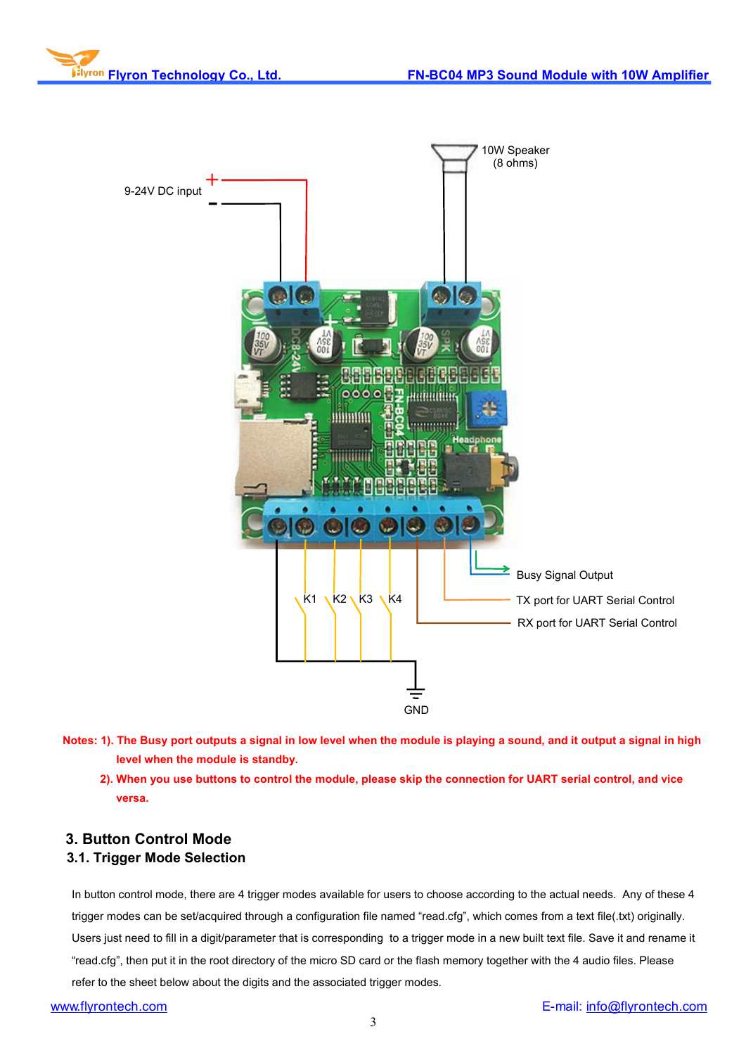



- Notes: 1). The Busy port outputs a signal in low level when the module is playing a sound, and it output a signal in high **level when the module is standby.**
	- 2). When you use buttons to control the module, please skip the connection for UART serial control, and vice **versa.**

# **3. Button Control Mode 3.1. Trigger Mode Selection**

In button control mode, there are 4 trigger modes available for users to choose according to the actual needs. Any of these 4 trigger modes can be set/acquired through a configuration file named "read.cfg", which comes from a text file(.txt) originally. Users just need to fill in a digit/parameter that is corresponding to a trigger mode in a new built text file. Save it and rename it "read.cfg", then put it in the root directory of the micro SD card or the flash memory together with the 4 audio files. Please refer to the sheet below about the digits and the associated trigger modes.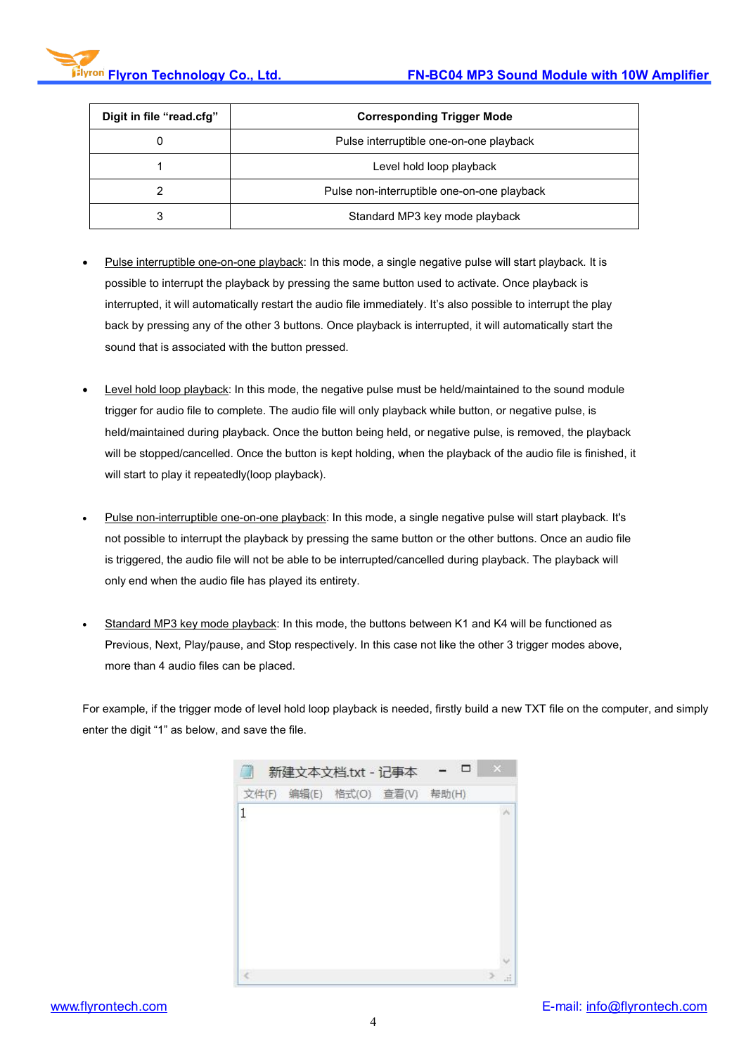| Digit in file "read.cfg" | <b>Corresponding Trigger Mode</b>           |
|--------------------------|---------------------------------------------|
|                          | Pulse interruptible one-on-one playback     |
|                          | Level hold loop playback                    |
|                          | Pulse non-interruptible one-on-one playback |
|                          | Standard MP3 key mode playback              |

- Pulse interruptible one-on-one playback: In this mode, a single negative pulse will start playback*.* It is possible to interrupt the playback by pressing the same button used to activate. Once playback is interrupted, it will automatically restart the audio file immediately. It's also possible to interrupt the play back by pressing any of the other 3 buttons. Once playback is interrupted, it will automatically start the sound that is associated with the button pressed.
- Level hold loop playback: In this mode, the negative pulse must be held/maintained to the sound module trigger for audio file to complete. The audio file will only playback while button, or negative pulse, is held/maintained during playback. Once the button being held, or negative pulse, is removed, the playback will be stopped/cancelled. Once the button is kept holding, when the playback of the audio file is finished, it will start to play it repeatedly(loop playback).
- Pulse non-interruptible one-on-one playback: In this mode, a single negative pulse will start playback*.* It's not possible to interrupt the playback by pressing the same button or the other buttons. Once an audio file is triggered, the audio file will not be able to be interrupted/cancelled during playback. The playback will only end when the audio file has played its entirety.
- Standard MP3 key mode playback: In this mode, the buttons between K1 and K4 will be functioned as Previous, Next, Play/pause, and Stop respectively. In this case not like the other 3 trigger modes above, more than 4 audio files can be placed.

For example, if the trigger mode of level hold loop playback is needed, firstly build a new TXT file on the computer, and simply enter the digit "1" as below, and save the file.

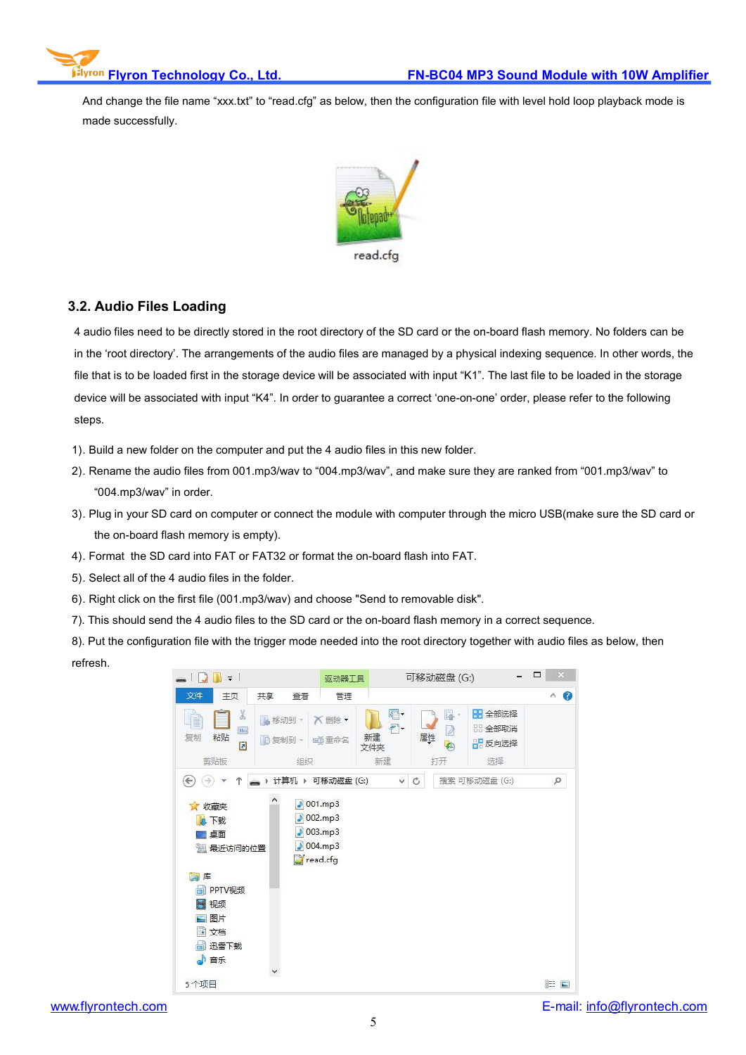

And change the file name "xxx.txt" to "read.cfg" as below, then the configuration file with level hold loop playback mode is made successfully.



# **3.2. Audio Files Loading**

4 audio files need to be directly stored in the root directory of the SD card or the on-board flash memory. No folders can be in the 'root directory'. The arrangements of the audio files are managed by a physical indexing sequence. In other words, the file that is to be loaded first in the storage device will be associated with input "K1". The last file to be loaded in the storage device will be associated with input "K4". In order to guarantee a correct 'one-on-one' order, please refer to the following steps.

- 1). Build a new folder on the computer and put the 4 audio files in this new folder.
- 2). Rename the audio files from 001.mp3/wav to "004.mp3/wav", and make sure they are ranked from "001.mp3/wav" to "004.mp3/wav" in order.
- 3). Plug in your SD card on computer or connect the module with computer through the micro USB(make sure the SD card or the on-board flash memory is empty).
- 4). Format the SD card into FAT or FAT32 or format the on-board flash into FAT.
- 5). Select all of the 4 audio files in the folder.
- 6). Right click on the first file (001.mp3/wav) and choose "Send to removable disk".
- 7). This should send the 4 audio files to the SD card or the on-board flash memory in a correct sequence.

8). Put the configuration file with the trigger mode needed into the root directory together with audio files as below, then refresh.

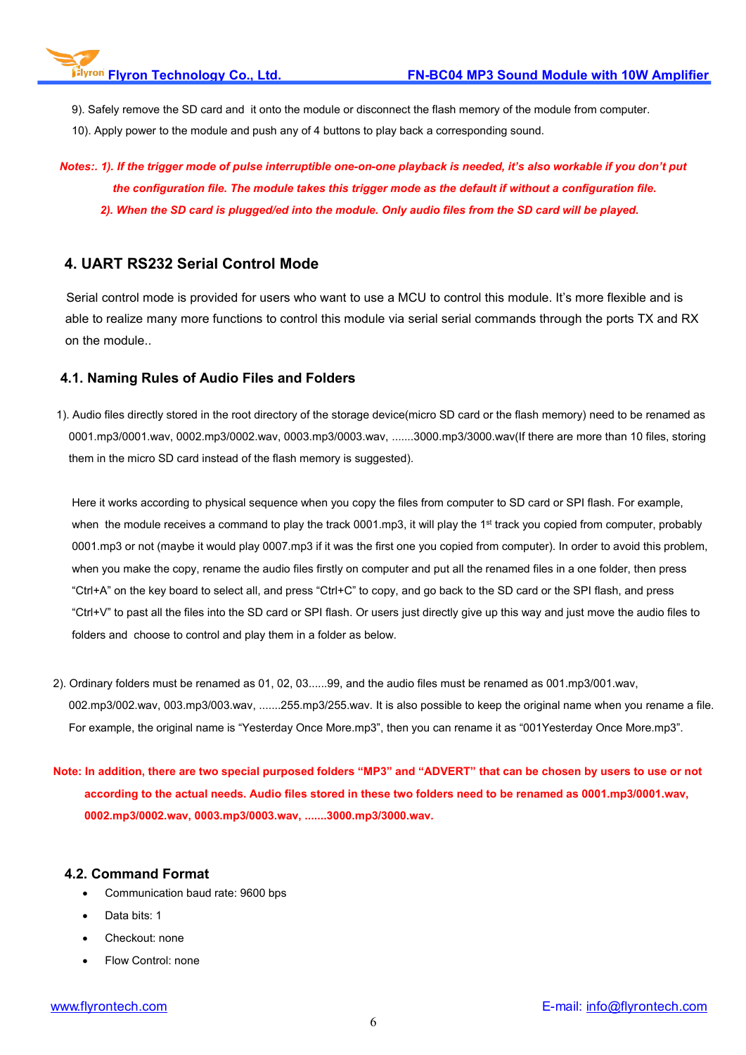9). Safely remove the SD card and it onto the module or disconnect the flash memory of the module from computer.

10). Apply power to the module and push any of 4 buttons to play back a corresponding sound.

# Notes:. 1). If the trigger mode of pulse interruptible one-on-one playback is needed, it's also workable if you don't put the configuration file. The module takes this trigger mode as the default if without a configuration file. 2). When the SD card is plugged/ed into the module. Only audio files from the SD card will be played.

# **4. UART RS232 SerialControl Mode**

Serial control mode is provided for users who want to use a MCU to control this module. It's more flexible and is able to realize many more functions to control this module via serial serial commands through the ports TX and RX on the module..

# **4.1. Naming Rules of Audio Files and Folders**

1). Audio files directly stored in the root directory of the storage device(micro SD card or the flash memory) need to be renamed as 0001.mp3/0001.wav, 0002.mp3/0002.wav, 0003.mp3/0003.wav, .......3000.mp3/3000.wav(If there are more than 10 files, storing them in the micro SD card instead of the flash memory is suggested).

Here it works according to physical sequence when you copy the files from computer to SD card or SPI flash. For example, when the module receives a command to play the track 0001.mp3, it will play the 1<sup>st</sup> track you copied from computer, probably 0001.mp3 or not (maybe it would play 0007.mp3 if it was the first one you copied from computer). In order to avoid this problem, when you make the copy, rename the audio files firstly on computer and put all the renamed files in a one folder, then press "Ctrl+A" on the key board to select all, and press "Ctrl+C" to copy, and go back to the SD card or the SPI flash, and press "Ctrl+V" to past all the files into the SD card or SPI flash. Or users just directly give up this way and just move the audio files to folders and choose to control and play them in a folder as below.

- 2). Ordinary folders must be renamed as 01, 02, 03......99, and the audio files must be renamed as 001.mp3/001.wav, 002.mp3/002.wav, 003.mp3/003.wav, .......255.mp3/255.wav. It is also possible to keep the original name when you rename a file. For example, the original name is"Yesterday Once More.mp3", then you can rename it as "001Yesterday Once More.mp3".
- Note: In addition, there are two special purposed folders "MP3" and "ADVERT" that can be chosen by users to use or not according to the actual needs. Audio files stored in these two folders need to be renamed as 0001.mp3/0001.wav, **0002.mp3/0002.wav, 0003.mp3/0003.wav, .......3000.mp3/3000.wav.**

# **4.2. Command Format**

- Communication baud rate: 9600 bps
- Data bits: 1
- Checkout: none
- Flow Control: none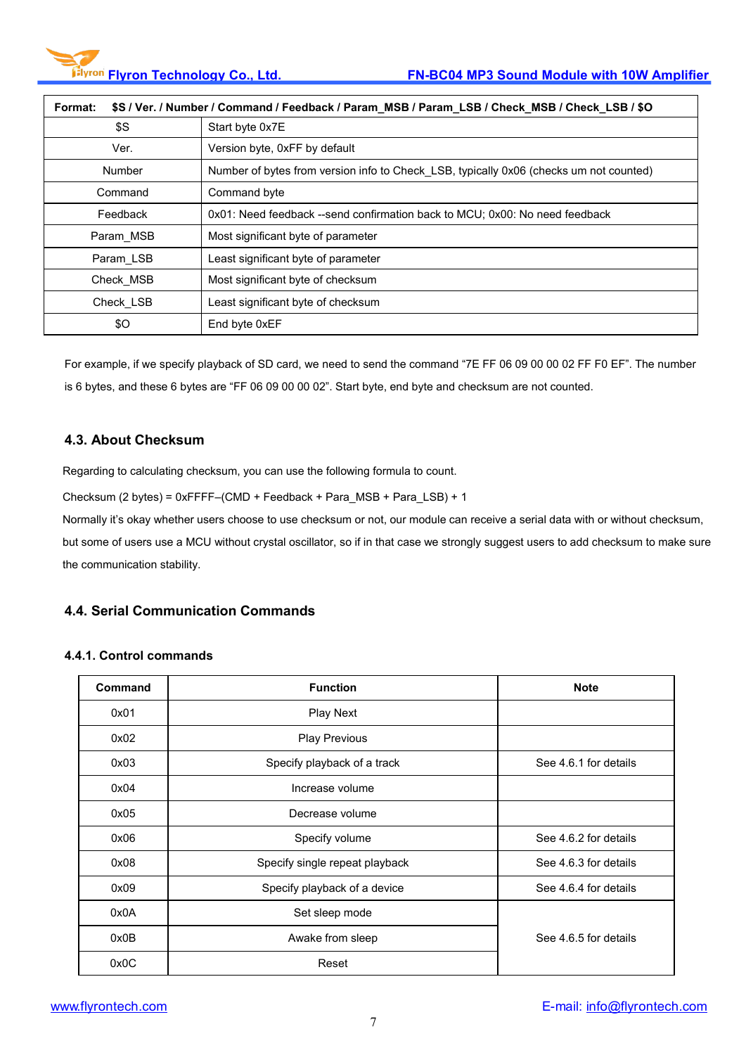| \$S / Ver. / Number / Command / Feedback / Param_MSB / Param_LSB / Check_MSB / Check_LSB / \$O<br>Format: |                                                                                        |  |  |  |
|-----------------------------------------------------------------------------------------------------------|----------------------------------------------------------------------------------------|--|--|--|
| \$S<br>Start byte 0x7E                                                                                    |                                                                                        |  |  |  |
| Ver.                                                                                                      | Version byte, 0xFF by default                                                          |  |  |  |
| Number                                                                                                    | Number of bytes from version info to Check_LSB, typically 0x06 (checks um not counted) |  |  |  |
| Command                                                                                                   | Command byte                                                                           |  |  |  |
| Feedback                                                                                                  | 0x01: Need feedback --send confirmation back to MCU; 0x00: No need feedback            |  |  |  |
| Param_MSB<br>Most significant byte of parameter                                                           |                                                                                        |  |  |  |
| Param LSB                                                                                                 | Least significant byte of parameter                                                    |  |  |  |
| Check MSB                                                                                                 | Most significant byte of checksum                                                      |  |  |  |
| Check LSB                                                                                                 | Least significant byte of checksum                                                     |  |  |  |
| \$O<br>End byte 0xEF                                                                                      |                                                                                        |  |  |  |

For example, if we specify playback of SD card, we need to send the command "7E FF 06 09 00 00 02 FF F0 EF". The number is 6 bytes, and these 6 bytes are "FF 06 09 00 00 02". Start byte, end byte and checksum are not counted.

# **4.3. About Checksum**

Regarding to calculating checksum, you can use the following formula to count.

Checksum (2 bytes) = 0xFFFF–(CMD + Feedback + Para\_MSB + Para\_LSB) + 1

Normally it's okay whether users choose to use checksum or not, our module can receive a serial data with or without checksum,

but some of users use a MCU without crystal oscillator, so if in that case we strongly suggest users to add checksum to make sure the communication stability.

# **4.4. Serial Communication Commands**

# **4.4.1. Control commands**

| Command | <b>Function</b>                | <b>Note</b>           |
|---------|--------------------------------|-----------------------|
| 0x01    | Play Next                      |                       |
| 0x02    | <b>Play Previous</b>           |                       |
| 0x03    | Specify playback of a track    | See 4.6.1 for details |
| 0x04    | Increase volume                |                       |
| 0x05    | Decrease volume                |                       |
| 0x06    | Specify volume                 | See 4.6.2 for details |
| 0x08    | Specify single repeat playback | See 4.6.3 for details |
| 0x09    | Specify playback of a device   | See 4.6.4 for details |
| 0x0A    | Set sleep mode                 |                       |
| 0x0B    | Awake from sleep               | See 4.6.5 for details |
| 0x0C    | Reset                          |                       |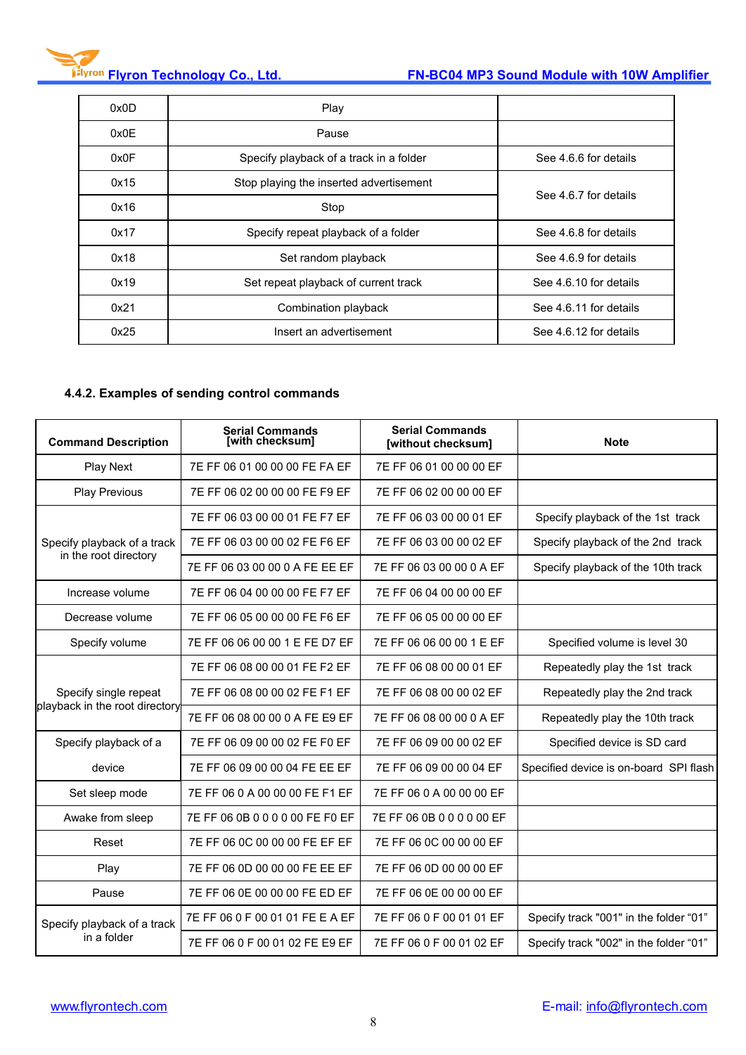| 0x0D | Play                                                           |                        |
|------|----------------------------------------------------------------|------------------------|
| 0x0E | Pause                                                          |                        |
| 0x0F | Specify playback of a track in a folder                        | See 4.6.6 for details  |
| 0x15 | Stop playing the inserted advertisement                        | See 4.6.7 for details  |
| 0x16 | Stop                                                           |                        |
| 0x17 | Specify repeat playback of a folder<br>See 4.6.8 for details   |                        |
| 0x18 | See 4.6.9 for details<br>Set random playback                   |                        |
| 0x19 | Set repeat playback of current track<br>See 4.6.10 for details |                        |
| 0x21 | See 4.6.11 for details<br>Combination playback                 |                        |
| 0x25 | Insert an advertisement                                        | See 4.6.12 for details |

# **4.4.2. Examples of sending control commands**

| <b>Command Description</b>                              | <b>Serial Commands</b><br>[with checksum] | <b>Serial Commands</b><br>[without checksum] | <b>Note</b>                            |
|---------------------------------------------------------|-------------------------------------------|----------------------------------------------|----------------------------------------|
| Play Next                                               | 7E FF 06 01 00 00 00 FE FA EF             | 7E FF 06 01 00 00 00 EF                      |                                        |
| <b>Play Previous</b>                                    | 7E FF 06 02 00 00 00 FE F9 EF             | 7E FF 06 02 00 00 00 EF                      |                                        |
|                                                         | 7E FF 06 03 00 00 01 FE F7 EF             | 7E FF 06 03 00 00 01 EF                      | Specify playback of the 1st track      |
| Specify playback of a track                             | 7E FF 06 03 00 00 02 FE F6 EF             | 7E FF 06 03 00 00 02 EF                      | Specify playback of the 2nd track      |
| in the root directory                                   | 7E FF 06 03 00 00 0 A FE EE EF            | 7E FF 06 03 00 00 0 A EF                     | Specify playback of the 10th track     |
| Increase volume                                         | 7E FF 06 04 00 00 00 FE F7 EF             | 7E FF 06 04 00 00 00 EF                      |                                        |
| Decrease volume                                         | 7E FF 06 05 00 00 00 FE F6 EF             | 7E FF 06 05 00 00 00 EF                      |                                        |
| Specify volume                                          | 7E FF 06 06 00 00 1 E FE D7 EF            | 7E FF 06 06 00 00 1 E EF                     | Specified volume is level 30           |
|                                                         | 7E FF 06 08 00 00 01 FE F2 EF             | 7E FF 06 08 00 00 01 EF                      | Repeatedly play the 1st track          |
| Specify single repeat<br>playback in the root directory | 7E FF 06 08 00 00 02 FE F1 EF             | 7E FF 06 08 00 00 02 EF                      | Repeatedly play the 2nd track          |
|                                                         | 7E FF 06 08 00 00 0 A FE E9 EF            | 7E FF 06 08 00 00 0 A EF                     | Repeatedly play the 10th track         |
| Specify playback of a                                   | 7E FF 06 09 00 00 02 FE F0 EF             | 7E FF 06 09 00 00 02 EF                      | Specified device is SD card            |
| device                                                  | 7E FF 06 09 00 00 04 FE EE EF             | 7E FF 06 09 00 00 04 EF                      | Specified device is on-board SPI flash |
| Set sleep mode                                          | 7E FF 06 0 A 00 00 00 FE F1 EF            | 7E FF 06 0 A 00 00 00 EF                     |                                        |
| Awake from sleep                                        | 7E FF 06 0B 0 0 0 0 00 FE F0 EF           | 7E FF 06 0B 0 0 0 0 00 EF                    |                                        |
| Reset                                                   | 7E FF 06 0C 00 00 00 FE EF EF             | 7E FF 06 0C 00 00 00 EF                      |                                        |
| Play                                                    | 7E FF 06 0D 00 00 00 FE EE EF             | 7E FF 06 0D 00 00 00 EF                      |                                        |
| Pause                                                   | 7E FF 06 0E 00 00 00 FE ED EF             | 7E FF 06 0E 00 00 00 EF                      |                                        |
| Specify playback of a track                             | 7E FF 06 0 F 00 01 01 FE E A EF           | 7E FF 06 0 F 00 01 01 EF                     | Specify track "001" in the folder "01" |
| in a folder                                             | 7E FF 06 0 F 00 01 02 FE E9 EF            | 7E FF 06 0 F 00 01 02 EF                     | Specify track "002" in the folder "01" |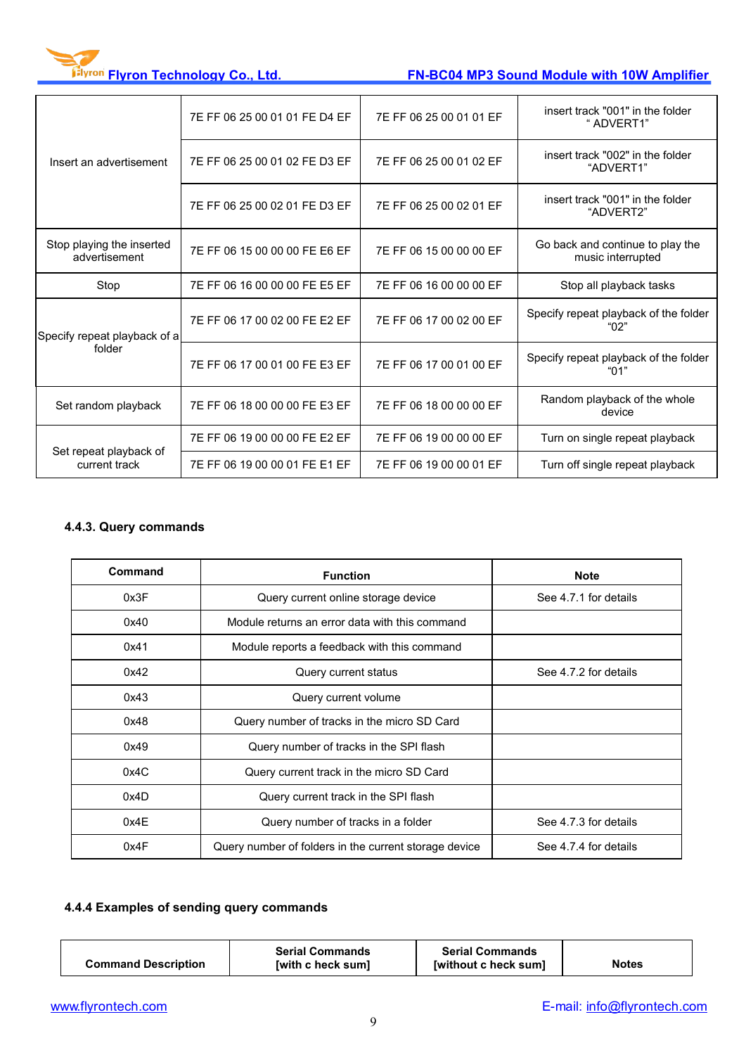

|                                            | 7E FF 06 25 00 01 01 FE D4 EF | 7E FF 06 25 00 01 01 EF | insert track "001" in the folder<br>" ADVERT1"        |
|--------------------------------------------|-------------------------------|-------------------------|-------------------------------------------------------|
| Insert an advertisement                    | 7E FF 06 25 00 01 02 FE D3 EF | 7E FF 06 25 00 01 02 EF | insert track "002" in the folder<br>"ADVERT1"         |
|                                            | 7E FF 06 25 00 02 01 FE D3 EF | 7E FF 06 25 00 02 01 EF | insert track "001" in the folder<br>"ADVERT2"         |
| Stop playing the inserted<br>advertisement | 7E FF 06 15 00 00 00 FE E6 EF | 7E FF 06 15 00 00 00 EF | Go back and continue to play the<br>music interrupted |
| Stop                                       | 7E FF 06 16 00 00 00 FE E5 EF | 7E FF 06 16 00 00 00 EF | Stop all playback tasks                               |
| Specify repeat playback of a               | 7E FF 06 17 00 02 00 FE E2 EF | 7E FF 06 17 00 02 00 EF | Specify repeat playback of the folder<br>"በ2"         |
| folder                                     | 7E FF 06 17 00 01 00 FE E3 EF | 7E FF 06 17 00 01 00 EF | Specify repeat playback of the folder<br>"01"         |
| Set random playback                        | 7E FF 06 18 00 00 00 FE E3 EF | 7E FF 06 18 00 00 00 EF | Random playback of the whole<br>device                |
|                                            | 7E FF 06 19 00 00 00 FE E2 EF | 7E FF 06 19 00 00 00 EF | Turn on single repeat playback                        |
| Set repeat playback of<br>current track    | 7E FF 06 19 00 00 01 FE E1 EF | 7E FF 06 19 00 00 01 EF | Turn off single repeat playback                       |

# **4.4.3. Query commands**

| Command<br><b>Function</b> |                                                                                | <b>Note</b>           |
|----------------------------|--------------------------------------------------------------------------------|-----------------------|
| 0x3F                       | Query current online storage device                                            | See 4.7.1 for details |
| 0x40                       | Module returns an error data with this command                                 |                       |
| 0x41                       | Module reports a feedback with this command                                    |                       |
| 0x42                       | Query current status                                                           | See 4.7.2 for details |
| 0x43                       | Query current volume                                                           |                       |
| 0x48                       | Query number of tracks in the micro SD Card                                    |                       |
| 0x49                       | Query number of tracks in the SPI flash                                        |                       |
| 0x4C                       | Query current track in the micro SD Card                                       |                       |
| 0x4D                       | Query current track in the SPI flash                                           |                       |
| 0x4E                       | Query number of tracks in a folder                                             | See 4.7.3 for details |
| 0x4F                       | Query number of folders in the current storage device<br>See 4.7.4 for details |                       |

# **4.4.4 Examples of sending query commands**

| <b>Serial Commands</b>     | <b>Serial Commands</b> |
|----------------------------|------------------------|
| <b>Command Description</b> | [without c heck sum]   |
| [with c heck sum]          | <b>Notes</b>           |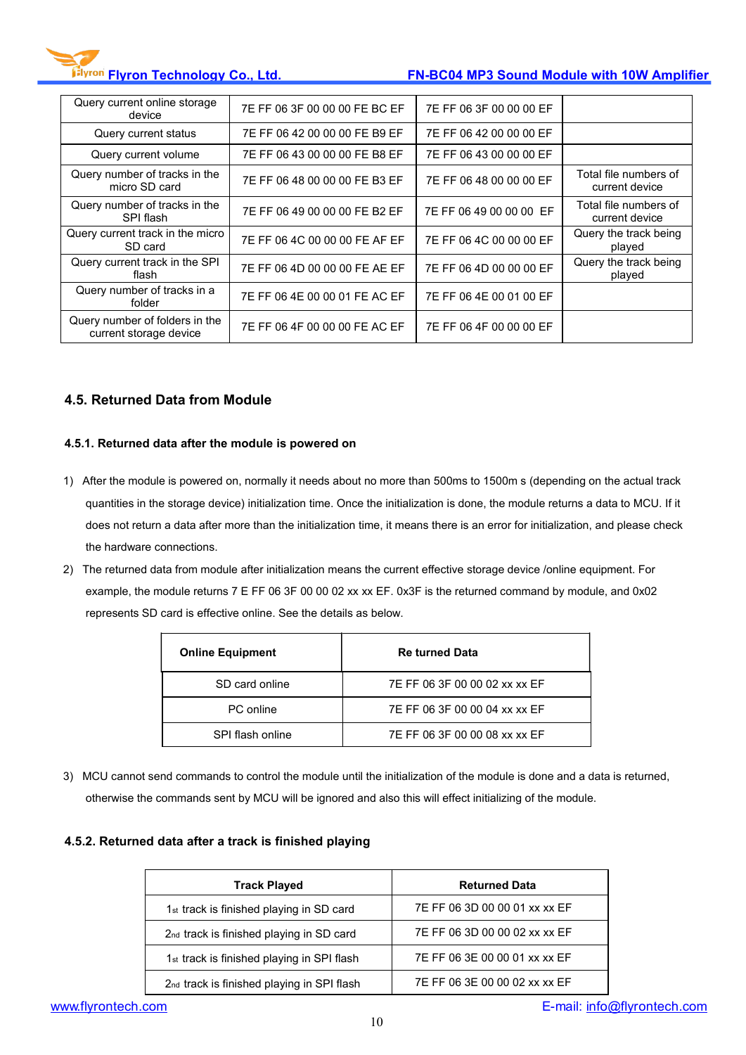| Query current online storage<br>device                   | 7E FF 06 3F 00 00 00 FE BC EF | 7E FF 06 3F 00 00 00 EF |                                         |
|----------------------------------------------------------|-------------------------------|-------------------------|-----------------------------------------|
| Query current status                                     | 7E FF 06 42 00 00 00 FE B9 EF | 7E FF 06 42 00 00 00 EF |                                         |
| Query current volume                                     | 7E FF 06 43 00 00 00 FE B8 EF | 7E FF 06 43 00 00 00 EF |                                         |
| Query number of tracks in the<br>micro SD card           | 7E FF 06 48 00 00 00 FE B3 EF | 7E FF 06 48 00 00 00 EF | Total file numbers of<br>current device |
| Query number of tracks in the<br>SPI flash               | 7E FF 06 49 00 00 00 FE B2 EF | 7E FF 06 49 00 00 00 EF | Total file numbers of<br>current device |
| Query current track in the micro<br>SD card              | 7E FF 06 4C 00 00 00 FE AF EF | 7E FF 06 4C 00 00 00 EF | Query the track being<br>played         |
| Query current track in the SPI<br>flash                  | 7E FF 06 4D 00 00 00 FE AE EF | 7E FF 06 4D 00 00 00 EF | Query the track being<br>played         |
| Query number of tracks in a<br>folder                    | 7E FF 06 4E 00 00 01 FE AC EF | 7E FF 06 4E 00 01 00 EF |                                         |
| Query number of folders in the<br>current storage device | 7E FF 06 4F 00 00 00 FE AC EF | 7E FF 06 4F 00 00 00 EF |                                         |

# **4.5. Returned Data from Module**

#### **4.5.1. Returned data after the module is powered on**

- 1) After the module ispowered on, normally it needs about no more than 500ms to 1500m s (depending on the actual track quantities in the storage device) initialization time. Once the initialization is done, the module returns a data to MCU. If it does not return a data after more than the initialization time, it means there is an error for initialization, and please check the hardware connections.
- 2) The returned data from module after initialization means the current effective storage device /online equipment. For example, the module returns 7 E FF 06 3F 00 00 02 xx xx EF. 0x3F is the returned command by module, and 0x02 represents SD card is effective online. See the details as below.

| <b>Online Equipment</b> | <b>Re turned Data</b>         |
|-------------------------|-------------------------------|
| SD card online          | 7E FF 06 3F 00 00 02 xx xx EF |
| PC online               | 7E FF 06 3F 00 00 04 xx xx EF |
| SPI flash online        | 7E FF 06 3F 00 00 08 xx xx EF |

3) MCU cannot send commands to control the module until the initialization of the module is done and a data is returned,<br>otherwise the commands sent by MCU will be ignored and also this will effect initializing of the modu

# **4.5.2. Returned data after a track is finished playing**

| <b>Track Played</b>                                  | <b>Returned Data</b>          |
|------------------------------------------------------|-------------------------------|
| 1 <sub>st</sub> track is finished playing in SD card | 7E FF 06 3D 00 00 01 xx xx EF |
| 2nd track is finished playing in SD card             | 7E FF 06 3D 00 00 02 xx xx EF |
| 1st track is finished playing in SPI flash           | 7E FF 06 3E 00 00 01 xx xx EF |
| 2nd track is finished playing in SPI flash           | 7E FF 06 3E 00 00 02 xx xx EF |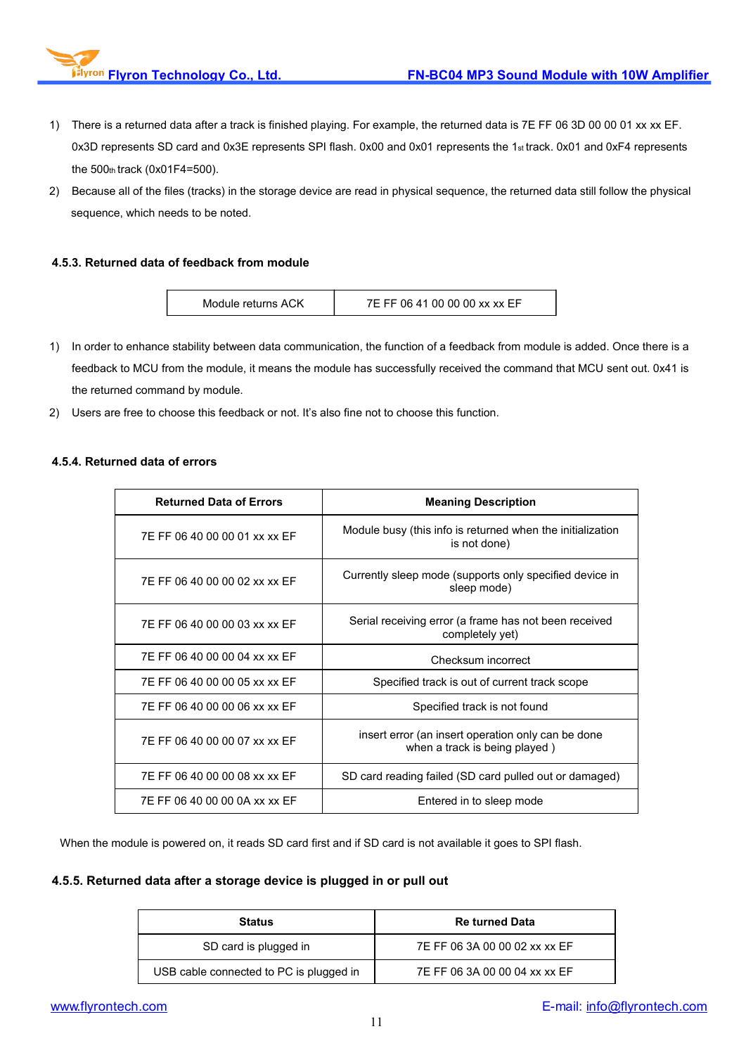- 1) There is a returned data after a track is finished playing. For example, the returned data is 7E FF 06 3D 00 00 01 xx xx EF. 0x3D represents SD card and 0x3E represents SPI flash. 0x00 and 0x01 represents the 1st track. 0x01 and 0xF4 represents the 500th track (0x01F4=500).
- 2) Because all of the files (tracks) in the storage device are read in physical sequence, the returned data still follow the physical sequence, which needs to be noted.

#### **4.5.3. Returned data of feedback from module**

Module returns ACK 7E FF 06 41 00 00 00 xx xx EF

- 1) In order to enhance stability between data communication, the function of a feedback from module is added. Once there is a feedback to MCU from the module, it means the module has successfully received the command that MCU sent out. 0x41 is the returned command by module.
- 2) Users are free to choose this feedback or not. It's also fine not to choose this function.

#### **4.5.4. Returned data of errors**

| <b>Returned Data of Errors</b> | <b>Meaning Description</b>                                                          |
|--------------------------------|-------------------------------------------------------------------------------------|
| 7E FF 06 40 00 00 01 xx xx EF  | Module busy (this info is returned when the initialization<br>is not done)          |
| 7E FF 06 40 00 00 02 xx xx EF  | Currently sleep mode (supports only specified device in<br>sleep mode)              |
| 7E FF 06 40 00 00 03 xx xx EF  | Serial receiving error (a frame has not been received<br>completely yet)            |
| 7E FF 06 40 00 00 04 xx xx EF  | Checksum incorrect                                                                  |
| 7E FF 06 40 00 00 05 xx xx EF  | Specified track is out of current track scope                                       |
| 7E FF 06 40 00 00 06 xx xx EF  | Specified track is not found                                                        |
| 7E FF 06 40 00 00 07 xx xx EF  | insert error (an insert operation only can be done<br>when a track is being played) |
| 7E FF 06 40 00 00 08 xx xx EF  | SD card reading failed (SD card pulled out or damaged)                              |
| 7E FF 06 40 00 00 0A xx xx EF  | Entered in to sleep mode                                                            |

When the module is powered on, it reads SD card first and if SD card is not available it goes to SPI flash.

#### **4.5.5. Returned data after a storage device is plugged in or pull out**

| <b>Status</b>                           | <b>Re turned Data</b>         |
|-----------------------------------------|-------------------------------|
| SD card is plugged in                   | 7E FF 06 3A 00 00 02 xx xx EF |
| USB cable connected to PC is plugged in | 7E FF 06 3A 00 00 04 xx xx EF |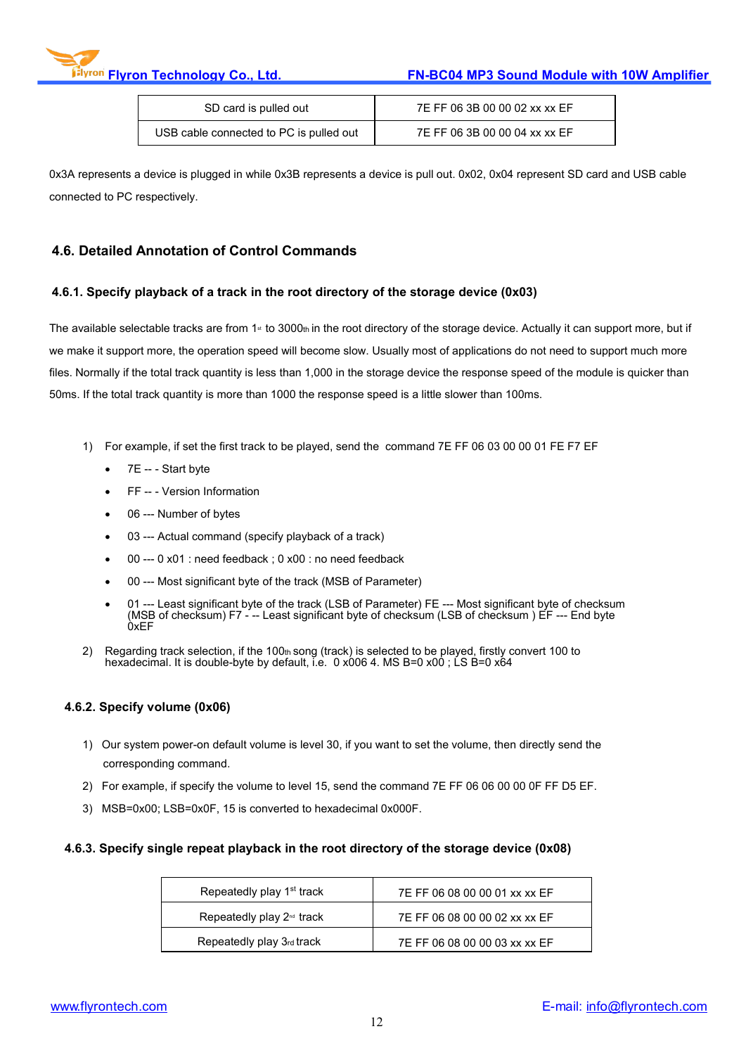

| SD card is pulled out                   | 7E FF 06 3B 00 00 02 xx xx EF |
|-----------------------------------------|-------------------------------|
| USB cable connected to PC is pulled out | 7E FF 06 3B 00 00 04 xx xx EF |

0x3A represents a device is plugged in while 0x3B represents a device is pull out. 0x02, 0x04 represent SD card and USB cable connected to PC respectively.

# **4.6. Detailed Annotation of Control Commands**

#### **4.6.1. Specify playback of a track in the root directory of the storage device (0x03)**

The available selectable tracks are from 1<sup>st</sup> to 3000th in the root directory of the storage device. Actually it can support more, but if we make it support more, the operation speed will become slow. Usually most of applications do not need to support much more files. Normally if the total track quantity is less than 1,000 in the storage device the response speed of the module is quicker than 50ms. If the total track quantity is more than 1000 the response speed isa little slower than 100ms.

- 1) For example, if set the first track to be played, send the command 7E FF 06 03 00 00 01 FE F7 EF
	- 7E -- Start byte
	- FF -- Version Information
	- 06 --- Number of bytes
	- 03 --- Actual command (specify playback of a track)
	- 00 --- 0 x01 : need feedback ; 0 x00 : no need feedback
	- 00 --- Most significant byte of the track (MSB of Parameter)
	- 01 --- Least significant byte of the track (LSB of Parameter) FE --- Most significant byte of checksum (MSB of checksum) F7 - -- Least significant byte of checksum (LSB of checksum) EF --- End byte 0xEF
- 2) Regarding track selection, if the 100th song (track) is selected to be played, firstly convert 100 to hexadecimal. It is double-byte by default, i.e. 0 x006 4. MS B=0 x00; LS B=0 x64

# **4.6.2. Specify volume (0x06)**

- 1) Our system power-on default volume is level 30, if you want to set the volume, then directly send the corresponding command.
- 2) For example, if specify the volume to level 15, send the command 7E FF 06 06 00 00 0F FF D5 EF.
- 3) MSB=0x00; LSB=0x0F, 15 isconverted to hexadecimal 0x000F.

# **4.6.3. Specify single repeat playback in the root directory of the storage device (0x08)**

| Repeatedly play 1 <sup>st</sup> track | 7E FF 06 08 00 00 01 xx xx EF |
|---------------------------------------|-------------------------------|
| Repeatedly play $2^{\omega}$ track    | 7E FF 06 08 00 00 02 xx xx EF |
| Repeatedly play 3rd track             | 7E FF 06 08 00 00 03 xx xx EF |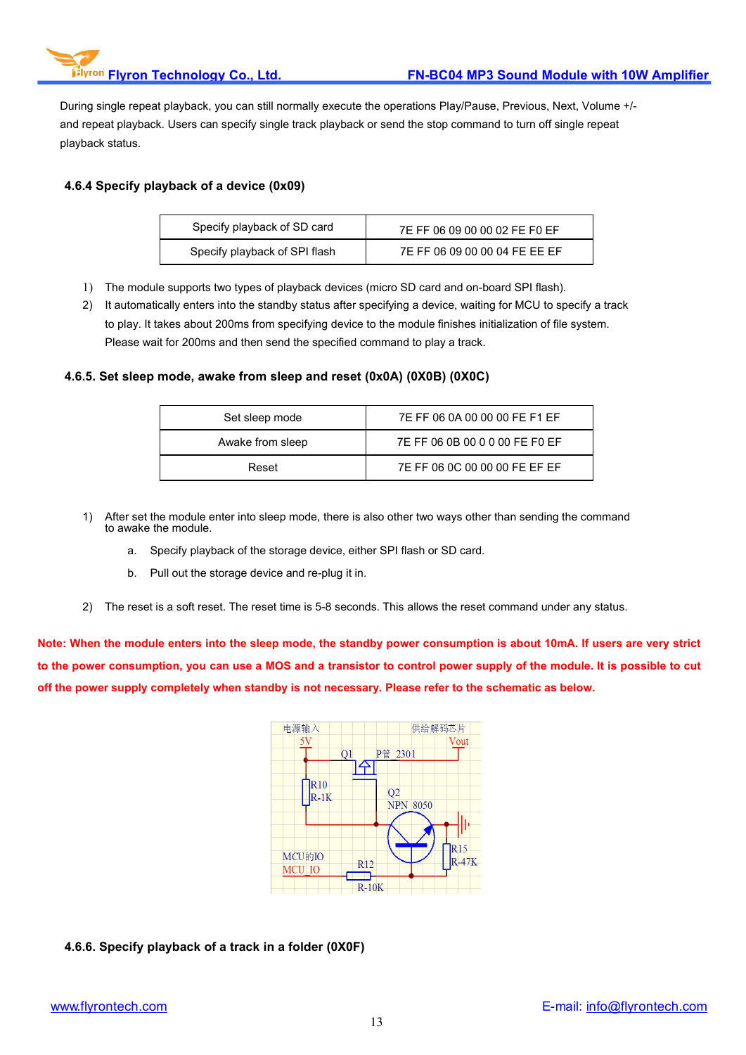During single repeat playback, you can still normally execute the operations Play/Pause, Previous, Next, Volume +/ and repeat playback. Users can specify single track playback or send the stop command to turn off single repeat playback status.

# **4.6.4 Specify playback of a device (0x09)**

| Specify playback of SD card   | 7E FF 06 09 00 00 02 FE F0 EF |
|-------------------------------|-------------------------------|
| Specify playback of SPI flash | 7E FF 06 09 00 00 04 FE EE EF |

- 1) The module supports two types of playback devices (micro SD card and on-board SPI flash).
- 2) It automatically enters into the standby status after specifying a device, waiting for MCU to specify a track to play. It takes about 200ms from specifying device to the module finishes initialization of file system. Please wait for 200ms and then send the specified command to play a track.

#### **4.6.5. Set sleep mode, awake from sleep and reset (0x0A) (0X0B) (0X0C)**

| Set sleep mode   | 7E FF 06 0A 00 00 00 FE F1 EF  |
|------------------|--------------------------------|
| Awake from sleep | 7E FF 06 0B 00 0 0 00 FE F0 EF |
| Reset            | 7E FF 06 0C 00 00 00 FE EF EF  |

- 1) After set the module enter into sleep mode, there is also other two ways other than sending the command to awake the module.
	- a. Specify playback of the storage device, either SPI flash or SD card.<br>b. Pull out the storage device and re-plug it in.
	-
- 2) The reset is a soft reset. The reset time is 5-8 seconds. This allows the reset command under any status.

Note: When the module enters into the sleep mode, the standby power consumption is about 10mA. If users are very strict to the power consumption, you can use a MOS and a transistor to control power supply of the module. It is possible to cut **off the powersupply completely when standby is not necessary. Please refer to the schematic as below.**



# **4.6.6. Specify playback of a track in a folder (0X0F)**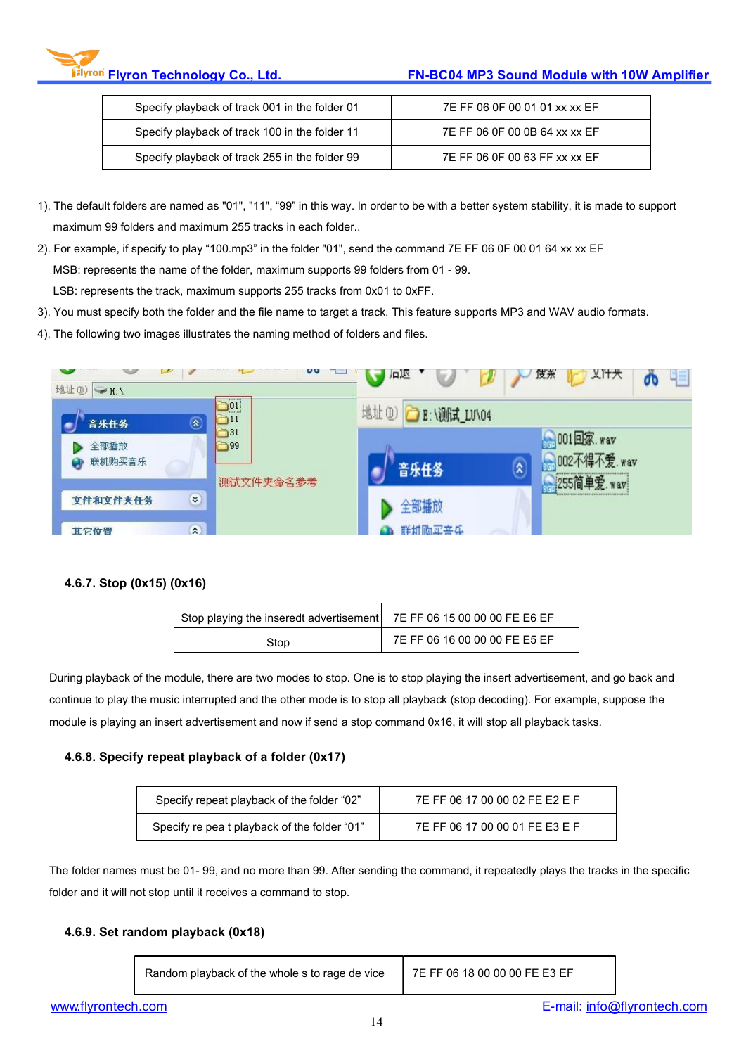| Specify playback of track 001 in the folder 01 | 7E FF 06 0F 00 01 01 xx xx EF |
|------------------------------------------------|-------------------------------|
| Specify playback of track 100 in the folder 11 | 7E FF 06 0F 00 0B 64 xx xx EF |
| Specify playback of track 255 in the folder 99 | 7E FF 06 0F 00 63 FF xx xx EF |

- 1). The default folders are named as "01", "11", "99" in this way. In order to be with a better system stability, it is made to support maximum 99 folders and maximum 255 tracks in each folder..
- 2). For example, if specify to play "100.mp3" in the folder "01", send the command 7E FF 06 0F 00 01 64 xx xx EF MSB: represents the name of the folder, maximum supports 99 folders from 01 - 99. LSB: represents the track, maximum supports 255 tracks from 0x01 to 0xFF.
- 3). You must specify both the folder and the file name to target a track. This feature supports MP3 and WAV audio formats.
- 4). The following two images illustrates the naming method of folders and files.



# **4.6.7. Stop (0x15) (0x16)**

| Stop playing the inseredt advertisement   7E FF 06 15 00 00 00 FE E6 EF |                               |
|-------------------------------------------------------------------------|-------------------------------|
| Stop                                                                    | 7E FF 06 16 00 00 00 FE E5 EF |

During playback of the module, there are two modes to stop. One is to stop playing the insert advertisement, and go back and continue to play the music interrupted and the other mode is to stop all playback (stop decoding). For example, suppose the module is playing an insert advertisement and now if send a stop command 0x16, it will stop all playback tasks.

# **4.6.8. Specify repeat playback of a folder (0x17)**

| Specify repeat playback of the folder "02"   | 7E FF 06 17 00 00 02 FE E2 E F |
|----------------------------------------------|--------------------------------|
| Specify re pea t playback of the folder "01" | 7E FF 06 17 00 00 01 FE E3 E F |

The folder names must be 01- 99, and no more than 99. After sending the command, it repeatedly plays the tracks in the specific folder and it will not stop until it receives a command to stop.

# **4.6.9. Set random playback (0x18)**

| Random playback of the whole s to rage de vice |  |  |  |  |
|------------------------------------------------|--|--|--|--|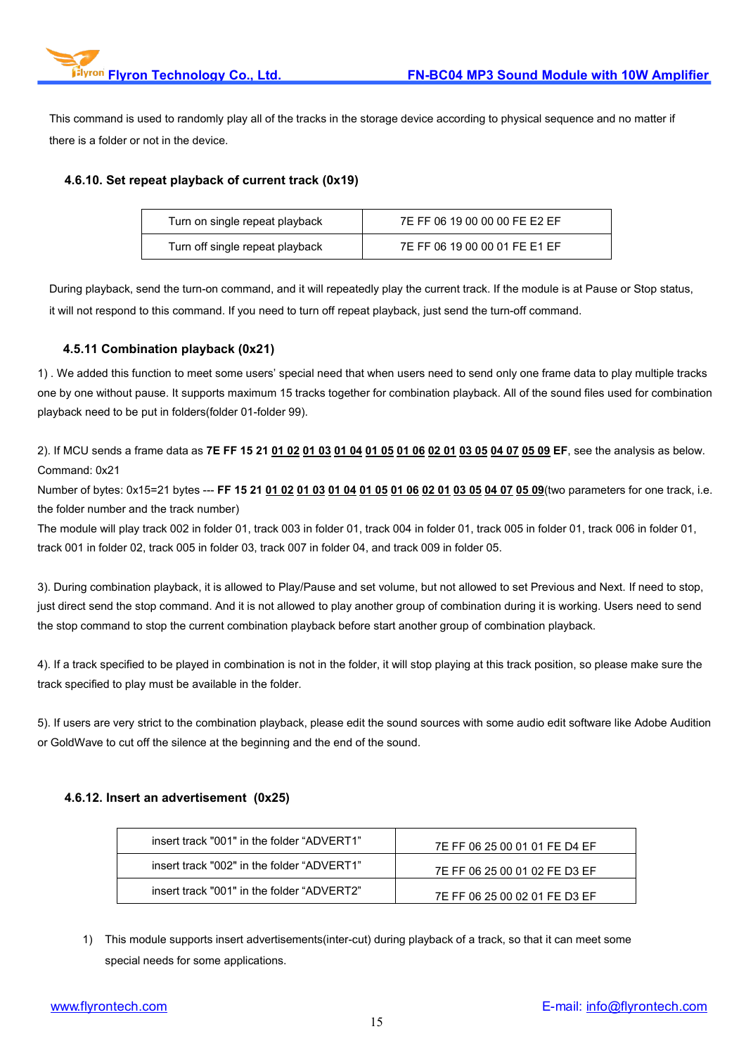This command is used to randomly play all of the tracks in the storage device according to physical sequence and no matter if there is a folder or not in the device.

### **4.6.10. Set repeat playback of current track (0x19)**

| Turn on single repeat playback  | 7E FF 06 19 00 00 00 FE E2 EF |
|---------------------------------|-------------------------------|
| Turn off single repeat playback | 7E FF 06 19 00 00 01 FE E1 EF |

During playback, send the turn-on command, and it will repeatedly play the current track. If the module is at Pause or Stop status, it will not respond to this command. If you need to turn off repeat playback, just send the turn-off command.

#### **4.5.11 Combination playback (0x21)**

1). We added this function to meet some users' special need that when users need to send only one frame data to play multiple tracks one by one without pause. It supports maximum 15 tracks together for combination playback. All of the sound files used for combination playback need to be put in folders(folder 01-folder 99).

2). If MCU sends a frame data as 7E FF 15 21 01 02 01 03 01 04 01 05 01 06 02 01 03 05 04 07 05 09 EF, see the analysis as below. Command: 0x21

Number of bytes: 0x15=21 bytes --- FF 15 21 01 02 01 03 01 04 01 05 01 06 02 01 03 05 04 07 05 09(two parameters for one track, i.e. the folder number and the track number)

The module will play track 002 in folder 01, track 003 in folder 01, track 004 in folder 01, track 005 in folder 01, track 006 in folder 01, track 001 in folder 02, track 005 in folder 03, track 007 in folder 04, and track 009 in folder 05.

3). During combination playback, it is allowed to Play/Pause and set volume, but not allowed to set Previous and Next. If need to stop, just direct send the stop command. And it is not allowed to play another group of combination during it is working. Users need to send the stop command to stop the current combination playback before start another group of combination playback.

4). If a track specified to be played in combination is not in the folder, it will stop playing at this track position, so please make sure the track specified to play must be available in the folder.

5). If users are very strict to the combination playback, please edit the sound sources with some audio edit software like Adobe Audition or GoldWave to cut off the silence at the beginning and the end of the sound.

#### **4.6.12. Insert an advertisement (0x25)**

| insert track "001" in the folder "ADVFRT1" | 7E FF 06 25 00 01 01 FE D4 EF |
|--------------------------------------------|-------------------------------|
| insert track "002" in the folder "ADVERT1" | 7E FF 06 25 00 01 02 FE D3 EF |
| insert track "001" in the folder "ADVERT2" | 7E FF 06 25 00 02 01 FE D3 EF |

1) This module supports insert advertisements(inter-cut) during playback ofa track, so that it can meet some special needs for some applications.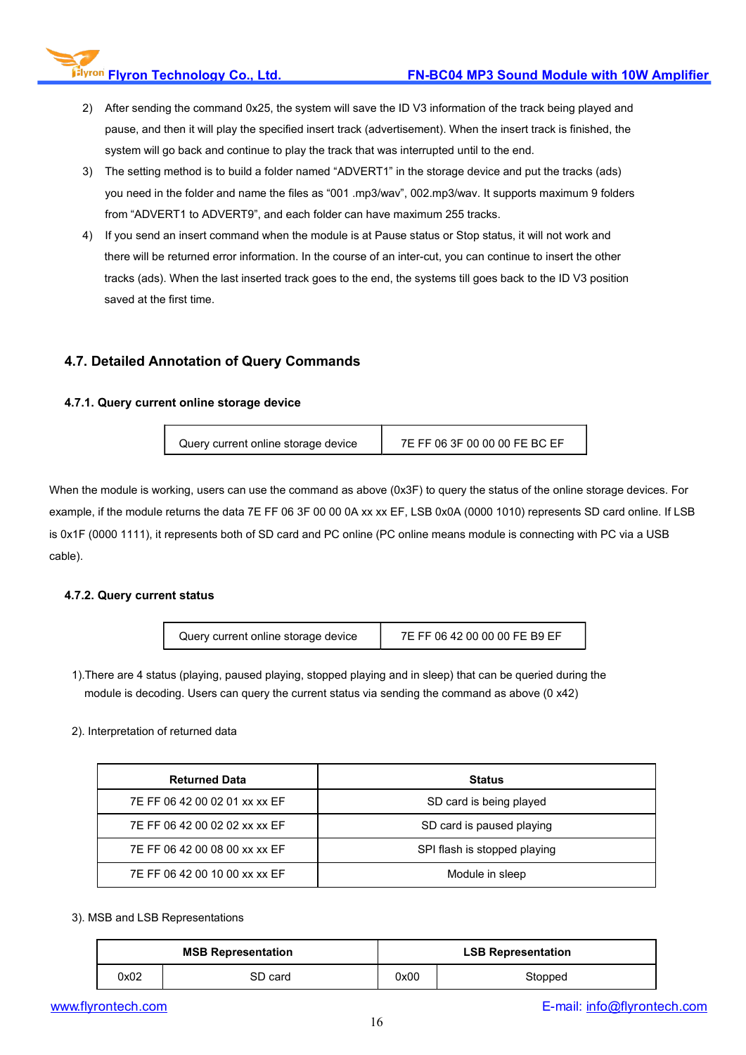- 2) After sending the command 0x25, the system will save the ID V3 information of the track being played and pause, and then it will play the specified insert track (advertisement). When the insert track is finished, the system will go back and continue to play the track that was interrupted until to the end.
- 3) The setting method is to build a folder named "ADVERT1" in the storage device and put the tracks (ads) you need in the folder and name the files as "001 .mp3/wav", 002.mp3/wav. It supports maximum 9 folders from "ADVERT1 to ADVERT9", and each folder can have maximum 255 tracks.
- 4) If you send an insert command when the module is at Pause status or Stop status, it will not work and there will be returned error information. In the course of an inter-cut, you can continue to insert the other tracks (ads). When the last inserted track goes to the end, the systems till goes back to the ID V3 position saved at the first time.

# **4.7. Detailed Annotation of Query Commands**

#### **4.7.1. Query current online storage device**

| 7E FF 06 3F 00 00 00 FE BC EF | Query current online storage device |  |
|-------------------------------|-------------------------------------|--|
|-------------------------------|-------------------------------------|--|

When the module is working, users can use the command as above (0x3F) to query the status of the online storage devices. For example, if the module returns the data 7E FF 06 3F 00 00 0A xx xx EF, LSB 0x0A (0000 1010) represents SD card online. If LSB is 0x1F (0000 1111), it represents both of SD card and PC online (PC online means module is connecting with PC via a USB cable).

#### **4.7.2. Query current status**

| 7E FF 06 42 00 00 00 FE B9 EF<br>Query current online storage device |
|----------------------------------------------------------------------|
|----------------------------------------------------------------------|

1).There are 4 status (playing, paused playing, stopped playing and in sleep) that can be queried during the module is decoding. Users can query the current status via sending the command as above (0 x42)

#### 2). Interpretation of returned data

| <b>Returned Data</b>          | <b>Status</b>                |
|-------------------------------|------------------------------|
| 7E FF 06 42 00 02 01 xx xx EF | SD card is being played      |
| 7E FF 06 42 00 02 02 xx xx EF | SD card is paused playing    |
| 7E FF 06 42 00 08 00 xx xx EF | SPI flash is stopped playing |
| 7E FF 06 42 00 10 00 xx xx EF | Module in sleep              |

#### 3). MSB and LSB Representations

|      | <b>MSB Representation</b> |      | <b>LSB Representation</b> |
|------|---------------------------|------|---------------------------|
| 0x02 | SD card                   | 0x00 | Stopped                   |